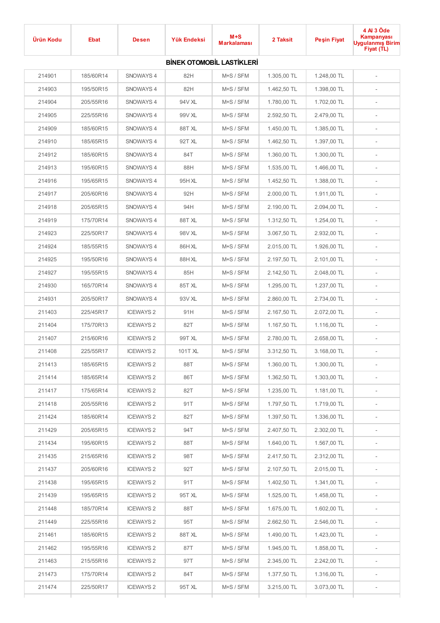| Ürün Kodu | <b>Ebat</b> | <b>Desen</b>     | Yük Endeksi | $M+S$<br><b>Markalaması</b>      | 2 Taksit    | <b>Peşin Fiyat</b> | 4 Al 3 Öde<br>Kampanyası<br><b>Uygulanmış Birim</b><br>Fiyat (TL) |
|-----------|-------------|------------------|-------------|----------------------------------|-------------|--------------------|-------------------------------------------------------------------|
|           |             |                  |             | <b>BİNEK OTOMOBİL LASTİKLERİ</b> |             |                    |                                                                   |
| 214901    | 185/60R14   | SNOWAYS 4        | 82H         | M+S / SFM                        | 1.305,00 TL | 1.248,00 TL        |                                                                   |
| 214903    | 195/50R15   | SNOWAYS 4        | 82H         | M+S / SFM                        | 1.462,50 TL | 1.398,00 TL        | $\overline{\phantom{a}}$                                          |
| 214904    | 205/55R16   | SNOWAYS 4        | 94V XL      | M+S / SFM                        | 1.780,00 TL | 1.702,00 TL        |                                                                   |
| 214905    | 225/55R16   | SNOWAYS 4        | 99V XL      | M+S / SFM                        | 2.592,50 TL | 2.479,00 TL        | $\overline{\phantom{a}}$                                          |
| 214909    | 185/60R15   | SNOWAYS 4        | 88TXL       | M+S / SFM                        | 1.450,00 TL | 1.385,00 TL        | $\overline{\phantom{a}}$                                          |
| 214910    | 185/65R15   | SNOWAYS 4        | 92T XL      | M+S / SFM                        | 1.462,50 TL | 1.397,00 TL        | $\overline{\phantom{a}}$                                          |
| 214912    | 185/60R15   | SNOWAYS 4        | 84T         | M+S / SFM                        | 1.360,00 TL | 1.300,00 TL        | $\overline{\phantom{a}}$                                          |
| 214913    | 195/60R15   | SNOWAYS 4        | 88H         | M+S / SFM                        | 1.535,00 TL | 1.466,00 TL        | $\overline{\phantom{a}}$                                          |
| 214916    | 195/65R15   | SNOWAYS 4        | 95H XL      | M+S / SFM                        | 1.452,50 TL | 1.388,00 TL        | $\overline{\phantom{a}}$                                          |
| 214917    | 205/60R16   | SNOWAYS 4        | 92H         | M+S / SFM                        | 2.000,00 TL | 1.911,00 TL        | $\overline{\phantom{a}}$                                          |
| 214918    | 205/65R15   | SNOWAYS 4        | 94H         | M+S / SFM                        | 2.190,00 TL | 2.094,00 TL        | $\overline{\phantom{a}}$                                          |
| 214919    | 175/70R14   | SNOWAYS 4        | 88TXL       | M+S / SFM                        | 1.312,50 TL | 1.254,00 TL        | $\overline{\phantom{a}}$                                          |
| 214923    | 225/50R17   | SNOWAYS 4        | 98V XL      | M+S / SFM                        | 3.067,50 TL | 2.932,00 TL        | $\overline{\phantom{a}}$                                          |
| 214924    | 185/55R15   | SNOWAYS 4        | 86H XL      | M+S / SFM                        | 2.015,00 TL | 1.926,00 TL        | $\overline{\phantom{a}}$                                          |
| 214925    | 195/50R16   | SNOWAYS 4        | 88HXL       | M+S / SFM                        | 2.197,50 TL | 2.101,00 TL        | $\overline{\phantom{a}}$                                          |
| 214927    | 195/55R15   | SNOWAYS 4        | 85H         | M+S / SFM                        | 2.142,50 TL | 2.048,00 TL        | $\overline{\phantom{a}}$                                          |
| 214930    | 165/70R14   | SNOWAYS 4        | 85T XL      | M+S / SFM                        | 1.295,00 TL | 1.237,00 TL        | $\overline{\phantom{a}}$                                          |
| 214931    | 205/50R17   | SNOWAYS 4        | 93V XL      | M+S / SFM                        | 2.860,00 TL | 2.734,00 TL        | $\overline{\phantom{a}}$                                          |
| 211403    | 225/45R17   | <b>ICEWAYS 2</b> | 91H         | M+S / SFM                        | 2.167,50 TL | 2.072,00 TL        | $\overline{\phantom{a}}$                                          |
| 211404    | 175/70R13   | <b>ICEWAYS 2</b> | 82T         | M+S / SFM                        | 1.167,50 TL | 1.116,00 TL        | $\overline{\phantom{a}}$                                          |
| 211407    | 215/60R16   | <b>ICEWAYS 2</b> | 99T XL      | M+S / SFM                        | 2.780,00 TL | 2.658,00 TL        | $\overline{\phantom{a}}$                                          |
| 211408    | 225/55R17   | <b>ICEWAYS 2</b> | 101T XL     | M+S / SFM                        | 3.312,50 TL | 3.168,00 TL        |                                                                   |
| 211413    | 185/65R15   | <b>ICEWAYS 2</b> | 88T         | M+S / SFM                        | 1.360,00 TL | 1.300,00 TL        |                                                                   |
| 211414    | 185/65R14   | <b>ICEWAYS 2</b> | 86T         | M+S / SFM                        | 1.362,50 TL | 1.303,00 TL        | $\overline{\phantom{a}}$                                          |
| 211417    | 175/65R14   | <b>ICEWAYS 2</b> | 82T         | M+S / SFM                        | 1.235,00 TL | 1.181,00 TL        | $\overline{\phantom{a}}$                                          |
| 211418    | 205/55R16   | <b>ICEWAYS 2</b> | 91T         | M+S / SFM                        | 1.797,50 TL | 1.719,00 TL        | $\overline{\phantom{a}}$                                          |
| 211424    | 185/60R14   | <b>ICEWAYS 2</b> | 82T         | M+S / SFM                        | 1.397,50 TL | 1.336,00 TL        | $\overline{\phantom{a}}$                                          |
| 211429    | 205/65R15   | <b>ICEWAYS 2</b> | 94T         | M+S / SFM                        | 2.407,50 TL | 2.302,00 TL        | $\overline{\phantom{a}}$                                          |
| 211434    | 195/60R15   | <b>ICEWAYS 2</b> | 88T         | M+S / SFM                        | 1.640,00 TL | 1.567,00 TL        | $\overline{\phantom{a}}$                                          |
| 211435    | 215/65R16   | <b>ICEWAYS 2</b> | 98T         | M+S / SFM                        | 2.417,50 TL | 2.312,00 TL        | $\overline{\phantom{a}}$                                          |
| 211437    | 205/60R16   | <b>ICEWAYS 2</b> | 92T         | M+S / SFM                        | 2.107,50 TL | 2.015,00 TL        | $\overline{\phantom{a}}$                                          |
| 211438    | 195/65R15   | <b>ICEWAYS 2</b> | 91T         | M+S / SFM                        | 1.402,50 TL | 1.341,00 TL        | $\overline{\phantom{a}}$                                          |
| 211439    | 195/65R15   | <b>ICEWAYS 2</b> | 95T XL      | M+S / SFM                        | 1.525,00 TL | 1.458,00 TL        | $\overline{\phantom{a}}$                                          |
| 211448    | 185/70R14   | <b>ICEWAYS 2</b> | 88T         | M+S / SFM                        | 1.675,00 TL | 1.602,00 TL        | $\overline{\phantom{a}}$                                          |
| 211449    | 225/55R16   | <b>ICEWAYS 2</b> | 95T         | M+S / SFM                        | 2.662,50 TL | 2.546,00 TL        | $\overline{\phantom{a}}$                                          |
| 211461    | 185/60R15   | <b>ICEWAYS 2</b> | 88TXL       | M+S / SFM                        | 1.490,00 TL | 1.423,00 TL        | $\overline{\phantom{a}}$                                          |
| 211462    | 195/55R16   | <b>ICEWAYS 2</b> | 87T         | M+S / SFM                        | 1.945,00 TL | 1.858,00 TL        | $\overline{\phantom{a}}$                                          |
| 211463    | 215/55R16   | <b>ICEWAYS 2</b> | 97T         | M+S / SFM                        | 2.345,00 TL | 2.242,00 TL        | $\overline{\phantom{a}}$                                          |
| 211473    | 175/70R14   | <b>ICEWAYS 2</b> | 84T         | M+S / SFM                        | 1.377,50 TL | 1.316,00 TL        | $\overline{\phantom{a}}$                                          |
| 211474    | 225/50R17   | <b>ICEWAYS 2</b> | 95T XL      | M+S / SFM                        | 3.215,00 TL | 3.073,00 TL        | $\overline{\phantom{a}}$                                          |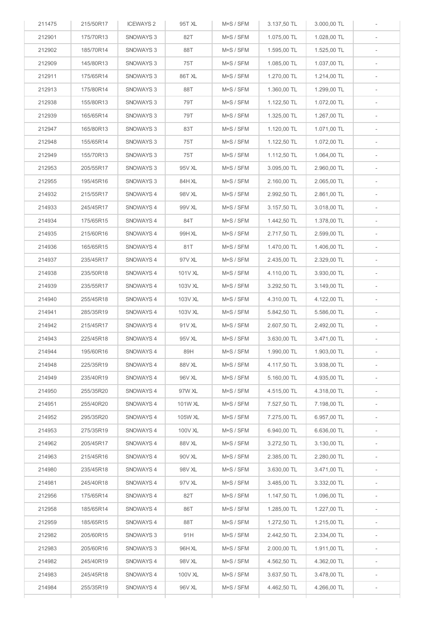| 211475 | 215/50R17 | <b>ICEWAYS 2</b> | 95T XL  | M+S / SFM | 3.137,50 TL | 3.000,00 TL |                          |
|--------|-----------|------------------|---------|-----------|-------------|-------------|--------------------------|
| 212901 | 175/70R13 | SNOWAYS 3        | 82T     | M+S / SFM | 1.075,00 TL | 1.028,00 TL |                          |
| 212902 | 185/70R14 | SNOWAYS 3        | 88T     | M+S / SFM | 1.595,00 TL | 1.525,00 TL |                          |
| 212909 | 145/80R13 | SNOWAYS 3        | 75T     | M+S / SFM | 1.085,00 TL | 1.037,00 TL | $\overline{\phantom{a}}$ |
| 212911 | 175/65R14 | SNOWAYS 3        | 86T XL  | M+S / SFM | 1.270,00 TL | 1.214,00 TL | $\overline{\phantom{a}}$ |
| 212913 | 175/80R14 | SNOWAYS 3        | 88T     | M+S / SFM | 1.360,00 TL | 1.299,00 TL | $\overline{\phantom{a}}$ |
| 212938 | 155/80R13 | SNOWAYS 3        | 79T     | M+S / SFM | 1.122,50 TL | 1.072,00 TL | $\sim$                   |
| 212939 | 165/65R14 | SNOWAYS 3        | 79T     | M+S / SFM | 1.325,00 TL | 1.267,00 TL | $\overline{\phantom{a}}$ |
| 212947 | 165/80R13 | SNOWAYS 3        | 83T     | M+S / SFM | 1.120,00 TL | 1.071,00 TL | $\overline{\phantom{a}}$ |
| 212948 | 155/65R14 | SNOWAYS 3        | 75T     | M+S / SFM | 1.122,50 TL | 1.072,00 TL | $\overline{\phantom{a}}$ |
| 212949 | 155/70R13 | SNOWAYS 3        | 75T     | M+S / SFM | 1.112,50 TL | 1.064,00 TL | $\overline{\phantom{a}}$ |
| 212953 | 205/55R17 | SNOWAYS 3        | 95V XL  | M+S / SFM | 3.095,00 TL | 2.960,00 TL |                          |
| 212955 | 195/45R16 | SNOWAYS 3        | 84H XL  | M+S / SFM | 2.160,00 TL | 2.065,00 TL | $\overline{\phantom{a}}$ |
| 214932 | 215/55R17 | SNOWAYS 4        | 98V XL  | M+S / SFM | 2.992,50 TL | 2.861,00 TL |                          |
| 214933 | 245/45R17 | SNOWAYS 4        | 99V XL  | M+S / SFM | 3.157,50 TL | 3.018,00 TL | $\overline{\phantom{a}}$ |
| 214934 | 175/65R15 | SNOWAYS 4        | 84T     | M+S / SFM | 1.442,50 TL | 1.378,00 TL | $\overline{\phantom{a}}$ |
| 214935 | 215/60R16 | SNOWAYS 4        | 99H XL  | M+S / SFM | 2.717,50 TL | 2.599,00 TL | $\overline{\phantom{a}}$ |
| 214936 | 165/65R15 | SNOWAYS 4        | 81T     | M+S / SFM | 1.470,00 TL | 1.406,00 TL | $\overline{\phantom{a}}$ |
| 214937 | 235/45R17 | SNOWAYS 4        | 97V XL  | M+S / SFM | 2.435,00 TL | 2.329,00 TL |                          |
| 214938 | 235/50R18 | SNOWAYS 4        | 101V XL | M+S / SFM | 4.110,00 TL | 3.930,00 TL |                          |
| 214939 | 235/55R17 | SNOWAYS 4        | 103V XL | M+S / SFM | 3.292,50 TL | 3.149,00 TL | $\overline{\phantom{a}}$ |
| 214940 | 255/45R18 | SNOWAYS 4        | 103V XL | M+S / SFM | 4.310,00 TL | 4.122,00 TL |                          |
| 214941 | 285/35R19 | SNOWAYS 4        | 103V XL | M+S / SFM | 5.842,50 TL | 5.586,00 TL | $\overline{\phantom{a}}$ |
| 214942 | 215/45R17 | SNOWAYS 4        | 91V XL  | M+S / SFM | 2.607,50 TL | 2.492,00 TL | $\overline{\phantom{a}}$ |
| 214943 | 225/45R18 | SNOWAYS 4        | 95V XL  | M+S / SFM | 3.630,00 TL | 3.471,00 TL | $\overline{\phantom{a}}$ |
| 214944 | 195/60R16 | SNOWAYS 4        | 89H     | M+S / SFM | 1.990,00 TL | 1.903,00 TL |                          |
| 214948 | 225/35R19 | SNOWAYS 4        | 88V XL  | M+S / SFM | 4.117,50 TL | 3.938,00 TL | $\overline{\phantom{a}}$ |
| 214949 | 235/40R19 | SNOWAYS 4        | 96V XL  | M+S / SFM | 5.160,00 TL | 4.935,00 TL | $\overline{\phantom{a}}$ |
| 214950 | 255/35R20 | SNOWAYS 4        | 97W XL  | M+S / SFM | 4.515,00 TL | 4.318,00 TL | $\sim$                   |
| 214951 | 255/40R20 | SNOWAYS 4        | 101W XL | M+S / SFM | 7.527,50 TL | 7.198,00 TL |                          |
| 214952 | 295/35R20 | SNOWAYS 4        | 105W XL | M+S / SFM | 7.275,00 TL | 6.957,00 TL | $\sim$                   |
| 214953 | 275/35R19 | SNOWAYS 4        | 100V XL | M+S / SFM | 6.940,00 TL | 6.636,00 TL | $\sim$                   |
| 214962 | 205/45R17 | SNOWAYS 4        | 88V XL  | M+S / SFM | 3.272,50 TL | 3.130,00 TL | $\sim$                   |
| 214963 | 215/45R16 | SNOWAYS 4        | 90V XL  | M+S / SFM | 2.385,00 TL | 2.280,00 TL | $\sim$                   |
| 214980 | 235/45R18 | SNOWAYS 4        | 98V XL  | M+S / SFM | 3.630,00 TL | 3.471,00 TL | $\sim$                   |
| 214981 | 245/40R18 | SNOWAYS 4        | 97V XL  | M+S / SFM | 3.485,00 TL | 3.332,00 TL | $\overline{\phantom{a}}$ |
| 212956 | 175/65R14 | SNOWAYS 4        | 82T     | M+S / SFM | 1.147,50 TL | 1.096,00 TL | $ \,$                    |
| 212958 | 185/65R14 | SNOWAYS 4        | 86T     | M+S / SFM | 1.285,00 TL | 1.227,00 TL |                          |
| 212959 | 185/65R15 | SNOWAYS 4        | 88T     | M+S / SFM | 1.272,50 TL | 1.215,00 TL |                          |
| 212982 | 205/60R15 | SNOWAYS 3        | 91H     | M+S / SFM | 2.442,50 TL | 2.334,00 TL |                          |
| 212983 | 205/60R16 | SNOWAYS 3        | 96H XL  | M+S / SFM | 2.000,00 TL | 1.911,00 TL |                          |
| 214982 | 245/40R19 | SNOWAYS 4        | 98V XL  | M+S / SFM | 4.562,50 TL | 4.362,00 TL |                          |
| 214983 | 245/45R18 | SNOWAYS 4        | 100V XL | M+S / SFM | 3.637,50 TL | 3.478,00 TL |                          |
| 214984 | 255/35R19 | SNOWAYS 4        | 96V XL  | M+S / SFM | 4.462,50 TL | 4.266,00 TL |                          |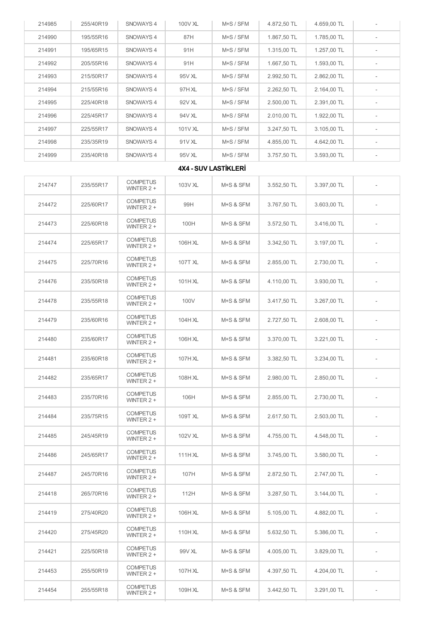| 214990 | 195/55R16 | SNOWAYS 4                       | 87H     | M+S / SFM                   | 1.867,50 TL | 1.785.00 TL | $\overline{\phantom{a}}$ |
|--------|-----------|---------------------------------|---------|-----------------------------|-------------|-------------|--------------------------|
| 214991 | 195/65R15 | SNOWAYS 4                       | 91H     | M+S / SFM                   | 1.315,00 TL | 1.257,00 TL | $\frac{1}{2}$            |
| 214992 | 205/55R16 | SNOWAYS 4                       | 91H     | M+S / SFM                   | 1.667,50 TL | 1.593,00 TL | $\overline{\phantom{a}}$ |
| 214993 | 215/50R17 | SNOWAYS 4                       | 95V XL  | M+S / SFM                   | 2.992,50 TL | 2.862,00 TL | $\overline{\phantom{m}}$ |
| 214994 | 215/55R16 | SNOWAYS 4                       | 97H XL  | M+S / SFM                   | 2.262,50 TL | 2.164,00 TL | $\overline{\phantom{a}}$ |
| 214995 | 225/40R18 | SNOWAYS 4                       | 92V XL  | M+S / SFM                   | 2.500,00 TL | 2.391,00 TL | $\overline{\phantom{a}}$ |
| 214996 | 225/45R17 | SNOWAYS 4                       | 94V XL  | M+S / SFM                   | 2.010,00 TL | 1.922.00 TL | $\overline{\phantom{a}}$ |
| 214997 | 225/55R17 | SNOWAYS 4                       | 101V XL | M+S / SFM                   | 3.247,50 TL | 3.105,00 TL | $\overline{\phantom{a}}$ |
| 214998 | 235/35R19 | SNOWAYS 4                       | 91V XL  | M+S / SFM                   | 4.855,00 TL | 4.642,00 TL | $\overline{\phantom{a}}$ |
| 214999 | 235/40R18 | SNOWAYS 4                       | 95V XL  | M+S / SFM                   | 3.757,50 TL | 3.593,00 TL |                          |
|        |           |                                 |         | <b>4X4 - SUV LASTİKLERİ</b> |             |             |                          |
| 214747 | 235/55R17 | <b>COMPETUS</b><br>WINTER $2 +$ | 103V XL | M+S & SFM                   | 3.552,50 TL | 3.397,00 TL |                          |
| 214472 | 225/60R17 | <b>COMPETUS</b><br>WINTER $2 +$ | 99H     | M+S & SFM                   | 3.767.50 TL | 3.603,00 TL |                          |
| 214473 | 225/60R18 | <b>COMPETUS</b><br>WINTER $2 +$ | 100H    | M+S & SFM                   | 3.572.50 TL | 3.416,00 TL |                          |
| 214474 | 225/65R17 | <b>COMPETUS</b><br>WINTER $2 +$ | 106H XL | M+S & SFM                   | 3.342,50 TL | 3.197,00 TL |                          |
| 214475 | 225/70R16 | <b>COMPETUS</b><br>WINTER $2 +$ | 107T XL | M+S & SFM                   | 2.855,00 TL | 2.730,00 TL |                          |
| 214476 | 235/50R18 | <b>COMPETUS</b><br>WINTER $2 +$ | 101HXL  | M+S & SFM                   | 4.110,00 TL | 3.930,00 TL |                          |
| 214478 | 235/55R18 | <b>COMPETUS</b><br>WINTER $2 +$ | 100V    | M+S & SFM                   | 3.417,50 TL | 3.267,00 TL |                          |
| 214479 | 235/60R16 | <b>COMPETUS</b><br>WINTER $2 +$ | 104HXL  | M+S & SFM                   | 2.727,50 TL | 2.608,00 TL |                          |
| 214480 | 235/60R17 | <b>COMPETUS</b><br>WINTER $2 +$ | 106H XL | M+S & SFM                   | 3.370,00 TL | 3.221,00 TL |                          |
| 214481 | 235/60R18 | <b>COMPETUS</b><br>WINTER 2 +   | 107H XL | M+S & SFM                   | 3.382,50 TL | 3.234,00 TL |                          |
| 214482 | 235/65R17 | <b>COMPETUS</b><br>WINTER $2 +$ | 108H XL | M+S & SFM                   | 2.980,00 TL | 2.850,00 TL |                          |
| 214483 | 235/70R16 | <b>COMPETUS</b><br>WINTER $2 +$ | 106H    | M+S & SFM                   | 2.855,00 TL | 2.730,00 TL |                          |
| 214484 | 235/75R15 | <b>COMPETUS</b><br>WINTER $2 +$ | 109T XL | M+S & SFM                   | 2.617.50 TL | 2.503,00 TL |                          |
| 214485 | 245/45R19 | <b>COMPETUS</b><br>WINTER $2 +$ | 102V XL | M+S & SFM                   | 4.755.00 TL | 4.548,00 TL |                          |
| 214486 | 245/65R17 | <b>COMPETUS</b><br>WINTER $2 +$ | 111H XL | M+S & SFM                   | 3.745.00 TL | 3.580,00 TL |                          |
| 214487 | 245/70R16 | <b>COMPETUS</b><br>WINTER 2 +   | 107H    | M+S & SFM                   | 2.872,50 TL | 2.747,00 TL |                          |
| 214418 | 265/70R16 | <b>COMPETUS</b><br>WINTER $2 +$ | 112H    | M+S & SFM                   | 3.287,50 TL | 3.144,00 TL | $\overline{\phantom{0}}$ |
| 214419 | 275/40R20 | <b>COMPETUS</b><br>WINTER $2 +$ | 106H XL | M+S & SFM                   | 5.105,00 TL | 4.882,00 TL |                          |
| 214420 | 275/45R20 | <b>COMPETUS</b><br>WINTER 2 +   | 110H XL | M+S & SFM                   | 5.632,50 TL | 5.386,00 TL |                          |
| 214421 | 225/50R18 | <b>COMPETUS</b><br>WINTER $2 +$ | 99V XL  | M+S & SFM                   | 4.005,00 TL | 3.829,00 TL |                          |
| 214453 | 255/50R19 | <b>COMPETUS</b><br>WINTER $2 +$ | 107H XL | M+S & SFM                   | 4.397,50 TL | 4.204,00 TL |                          |
| 214454 | 255/55R18 | <b>COMPETUS</b><br>WINTER 2 +   | 109H XL | M+S & SFM                   | 3.442,50 TL | 3.291,00 TL |                          |

214985 | 255/40R19 | SNOWAYS 4 | 100V XL | M+S / SFM | 4.872,50 TL | 4.659,00 TL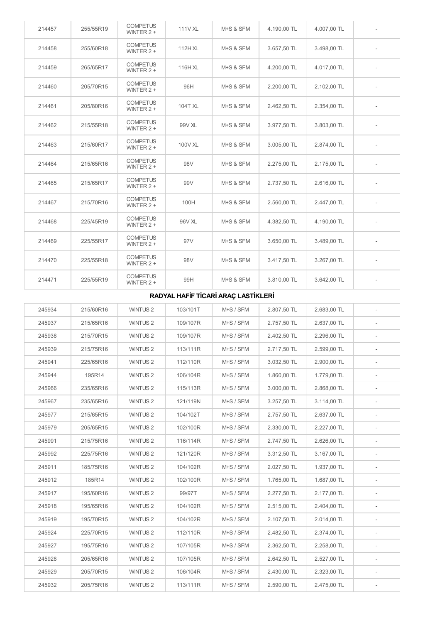| 214457 | 255/55R19 | <b>COMPETUS</b><br>WINTER $2 +$ | 111V XL | M+S & SFM | 4.190,00 TL | 4.007,00 TL |  |
|--------|-----------|---------------------------------|---------|-----------|-------------|-------------|--|
| 214458 | 255/60R18 | <b>COMPETUS</b><br>WINTER $2 +$ | 112HXL  | M+S & SFM | 3.657,50 TL | 3.498,00 TL |  |
| 214459 | 265/65R17 | <b>COMPETUS</b><br>WINTER $2 +$ | 116H XL | M+S & SFM | 4.200,00 TL | 4.017,00 TL |  |
| 214460 | 205/70R15 | <b>COMPETUS</b><br>WINTER $2 +$ | 96H     | M+S & SFM | 2.200,00 TL | 2.102,00 TL |  |
| 214461 | 205/80R16 | <b>COMPETUS</b><br>WINTER $2 +$ | 104T XL | M+S & SFM | 2.462,50 TL | 2.354,00 TL |  |
| 214462 | 215/55R18 | <b>COMPETUS</b><br>WINTER $2 +$ | 99V XL  | M+S & SFM | 3.977,50 TL | 3.803,00 TL |  |
| 214463 | 215/60R17 | <b>COMPETUS</b><br>WINTER $2 +$ | 100V XL | M+S & SFM | 3.005.00 TL | 2.874,00 TL |  |
| 214464 | 215/65R16 | <b>COMPETUS</b><br>WINTER $2 +$ | 98V     | M+S & SFM | 2.275,00 TL | 2.175.00 TL |  |
| 214465 | 215/65R17 | <b>COMPETUS</b><br>WINTER $2 +$ | 99V     | M+S & SFM | 2.737,50 TL | 2.616,00 TL |  |
| 214467 | 215/70R16 | <b>COMPETUS</b><br>WINTER $2 +$ | 100H    | M+S & SFM | 2.560,00 TL | 2.447,00 TL |  |
| 214468 | 225/45R19 | <b>COMPETUS</b><br>WINTER $2 +$ | 96V XL  | M+S & SFM | 4.382,50 TL | 4.190,00 TL |  |
| 214469 | 225/55R17 | <b>COMPETUS</b><br>WINTER $2 +$ | 97V     | M+S & SFM | 3.650,00 TL | 3.489,00 TL |  |
| 214470 | 225/55R18 | <b>COMPETUS</b><br>WINTER $2 +$ | 98V     | M+S & SFM | 3.417,50 TL | 3.267,00 TL |  |
| 214471 | 225/55R19 | <b>COMPETUS</b><br>WINTER $2 +$ | 99H     | M+S & SFM | 3.810,00 TL | 3.642,00 TL |  |

## RADYAL HAFİF TİCARİ ARAÇ LASTİKLERİ

| 245934 | 215/60R16 | WINTUS <sub>2</sub> | 103/101T | M+S / SFM | 2.807,50 TL | 2.683,00 TL |                          |
|--------|-----------|---------------------|----------|-----------|-------------|-------------|--------------------------|
| 245937 | 215/65R16 | WINTUS <sub>2</sub> | 109/107R | M+S / SFM | 2.757,50 TL | 2.637,00 TL |                          |
| 245938 | 215/70R15 | WINTUS <sub>2</sub> | 109/107R | M+S / SFM | 2.402,50 TL | 2.296,00 TL |                          |
| 245939 | 215/75R16 | WINTUS <sub>2</sub> | 113/111R | M+S / SFM | 2.717,50 TL | 2.599,00 TL | $\overline{\phantom{a}}$ |
| 245941 | 225/65R16 | WINTUS <sub>2</sub> | 112/110R | M+S / SFM | 3.032,50 TL | 2.900,00 TL |                          |
| 245944 | 195R14    | WINTUS <sub>2</sub> | 106/104R | M+S / SFM | 1.860,00 TL | 1.779,00 TL |                          |
| 245966 | 235/65R16 | WINTUS <sub>2</sub> | 115/113R | M+S / SFM | 3.000,00 TL | 2.868,00 TL | $\overline{\phantom{a}}$ |
| 245967 | 235/65R16 | WINTUS <sub>2</sub> | 121/119N | M+S / SFM | 3.257,50 TL | 3.114,00 TL |                          |
| 245977 | 215/65R15 | WINTUS <sub>2</sub> | 104/102T | M+S / SFM | 2.757,50 TL | 2.637,00 TL |                          |
| 245979 | 205/65R15 | WINTUS <sub>2</sub> | 102/100R | M+S / SFM | 2.330,00 TL | 2.227,00 TL |                          |
| 245991 | 215/75R16 | WINTUS <sub>2</sub> | 116/114R | M+S / SFM | 2.747,50 TL | 2.626,00 TL | $\overline{\phantom{a}}$ |
| 245992 | 225/75R16 | WINTUS <sub>2</sub> | 121/120R | M+S / SFM | 3.312,50 TL | 3.167,00 TL | $\overline{\phantom{a}}$ |
| 245911 | 185/75R16 | WINTUS <sub>2</sub> | 104/102R | M+S / SFM | 2.027,50 TL | 1.937,00 TL |                          |
| 245912 | 185R14    | WINTUS <sub>2</sub> | 102/100R | M+S / SFM | 1.765,00 TL | 1.687,00 TL | $\overline{\phantom{a}}$ |
| 245917 | 195/60R16 | WINTUS <sub>2</sub> | 99/97T   | M+S / SFM | 2.277,50 TL | 2.177,00 TL |                          |
| 245918 | 195/65R16 | WINTUS <sub>2</sub> | 104/102R | M+S / SFM | 2.515,00 TL | 2.404,00 TL |                          |
| 245919 | 195/70R15 | WINTUS <sub>2</sub> | 104/102R | M+S / SFM | 2.107,50 TL | 2.014,00 TL | $\overline{\phantom{a}}$ |
| 245924 | 225/70R15 | <b>WINTUS 2</b>     | 112/110R | M+S / SFM | 2.482,50 TL | 2.374,00 TL |                          |
| 245927 | 195/75R16 | WINTUS <sub>2</sub> | 107/105R | M+S / SFM | 2.362,50 TL | 2.258,00 TL |                          |
| 245928 | 205/65R16 | WINTUS <sub>2</sub> | 107/105R | M+S / SFM | 2.642,50 TL | 2.527,00 TL | $\overline{a}$           |
| 245929 | 205/70R15 | WINTUS <sub>2</sub> | 106/104R | M+S / SFM | 2.430.00 TL | 2.323,00 TL |                          |
| 245932 | 205/75R16 | WINTUS <sub>2</sub> | 113/111R | M+S / SFM | 2.590,00 TL | 2.475,00 TL |                          |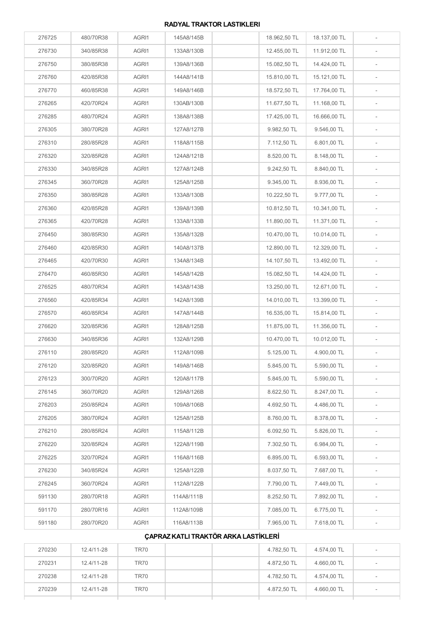## RADYAL TRAKTOR LASTIKLERI

| 276725 | 480/70R38 | AGRI1 | 145A8/145B | 18.962,50 TL | 18.137,00 TL |                          |
|--------|-----------|-------|------------|--------------|--------------|--------------------------|
| 276730 | 340/85R38 | AGRI1 | 133A8/130B | 12.455,00 TL | 11.912,00 TL |                          |
| 276750 | 380/85R38 | AGRI1 | 139A8/136B | 15.082,50 TL | 14.424,00 TL |                          |
| 276760 | 420/85R38 | AGRI1 | 144A8/141B | 15.810,00 TL | 15.121,00 TL |                          |
| 276770 | 460/85R38 | AGRI1 | 149A8/146B | 18.572,50 TL | 17.764,00 TL |                          |
| 276265 | 420/70R24 | AGRI1 | 130AB/130B | 11.677,50 TL | 11.168,00 TL | ÷,                       |
| 276285 | 480/70R24 | AGRI1 | 138A8/138B | 17.425,00 TL | 16.666,00 TL |                          |
| 276305 | 380/70R28 | AGRI1 | 127A8/127B | 9.982,50 TL  | 9.546,00 TL  | $\frac{1}{2}$            |
| 276310 | 280/85R28 | AGRI1 | 118A8/115B | 7.112,50 TL  | 6.801,00 TL  |                          |
| 276320 | 320/85R28 | AGRI1 | 124A8/121B | 8.520,00 TL  | 8.148,00 TL  | $\frac{1}{2}$            |
| 276330 | 340/85R28 | AGRI1 | 127A8/124B | 9.242,50 TL  | 8.840,00 TL  |                          |
| 276345 | 360/70R28 | AGRI1 | 125A8/125B | 9.345,00 TL  | 8.936,00 TL  | $\overline{\phantom{a}}$ |
| 276350 | 380/85R28 | AGRI1 | 133A8/130B | 10.222,50 TL | 9.777,00 TL  |                          |
| 276360 | 420/85R28 | AGRI1 | 139A8/139B | 10.812,50 TL | 10.341,00 TL | $\overline{\phantom{m}}$ |
| 276365 | 420/70R28 | AGRI1 | 133A8/133B | 11.890,00 TL | 11.371,00 TL | $\frac{1}{2}$            |
| 276450 | 380/85R30 | AGRI1 | 135A8/132B | 10.470,00 TL | 10.014,00 TL | $\blacksquare$           |
| 276460 | 420/85R30 | AGRI1 | 140A8/137B | 12.890,00 TL | 12.329,00 TL |                          |
| 276465 | 420/70R30 | AGRI1 | 134A8/134B | 14.107,50 TL | 13.492,00 TL | $\frac{1}{2}$            |
| 276470 | 460/85R30 | AGRI1 | 145A8/142B | 15.082,50 TL | 14.424,00 TL |                          |
| 276525 | 480/70R34 | AGRI1 | 143A8/143B | 13.250,00 TL | 12.671,00 TL |                          |
| 276560 | 420/85R34 | AGRI1 | 142A8/139B | 14.010,00 TL | 13.399,00 TL |                          |
| 276570 | 460/85R34 | AGRI1 | 147A8/144B | 16.535,00 TL | 15.814,00 TL |                          |
| 276620 | 320/85R36 | AGRI1 | 128A8/125B | 11.875,00 TL | 11.356,00 TL |                          |
| 276630 | 340/85R36 | AGRI1 | 132A8/129B | 10.470,00 TL | 10.012,00 TL |                          |
| 276110 | 280/85R20 | AGRI1 | 112A8/109B | 5.125,00 TL  | 4.900,00 TL  |                          |
| 276120 | 320/85R20 | AGRI1 | 149A8/146B | 5.845,00 TL  | 5.590,00 TL  |                          |
| 276123 | 300/70R20 | AGRI1 | 120A8/117B | 5.845,00 TL  | 5.590,00 TL  |                          |
| 276145 | 360/70R20 | AGRI1 | 129A8/126B | 8.622,50 TL  | 8.247,00 TL  | $\overline{\phantom{0}}$ |
| 276203 | 250/85R24 | AGRI1 | 109A8/106B | 4.692,50 TL  | 4.486,00 TL  |                          |
| 276205 | 380/70R24 | AGRI1 | 125A8/125B | 8.760,00 TL  | 8.378,00 TL  | $\overline{\phantom{m}}$ |
| 276210 | 280/85R24 | AGRI1 | 115A8/112B | 6.092,50 TL  | 5.826,00 TL  |                          |
| 276220 | 320/85R24 | AGRI1 | 122A8/119B | 7.302,50 TL  | 6.984,00 TL  | $\overline{\phantom{0}}$ |
| 276225 | 320/70R24 | AGRI1 | 116A8/116B | 6.895,00 TL  | 6.593,00 TL  |                          |
| 276230 | 340/85R24 | AGRI1 | 125A8/122B | 8.037,50 TL  | 7.687,00 TL  | $\overline{\phantom{0}}$ |
| 276245 | 360/70R24 | AGRI1 | 112A8/122B | 7.790,00 TL  | 7.449,00 TL  | $\frac{1}{2}$            |
| 591130 | 280/70R18 | AGRI1 | 114A8/111B | 8.252,50 TL  | 7.892,00 TL  | $\overline{\phantom{m}}$ |
| 591170 | 280/70R16 | AGRI1 | 112A8/109B | 7.085,00 TL  | 6.775,00 TL  | $\overline{a}$           |
| 591180 | 280/70R20 | AGRI1 | 116A8/113B | 7.965,00 TL  | 7.618,00 TL  |                          |
|        |           |       |            |              |              |                          |

## ÇAPRAZKATLI TRAKTÖR ARKALASTİKLERİ

| 270230 | 12.4/11-28 | <b>TR70</b> |  | 4.782,50 TL | 4.574,00 TL | $\sim$                   |
|--------|------------|-------------|--|-------------|-------------|--------------------------|
| 270231 | 12.4/11-28 | <b>TR70</b> |  | 4.872,50 TL | 4.660,00 TL | $\overline{\phantom{a}}$ |
| 270238 | 12.4/11-28 | <b>TR70</b> |  | 4.782,50 TL | 4.574.00 TL | $\overline{\phantom{a}}$ |
| 270239 | 12.4/11-28 | <b>TR70</b> |  | 4.872,50 TL | 4.660,00 TL | $\sim$                   |
|        |            |             |  |             |             |                          |